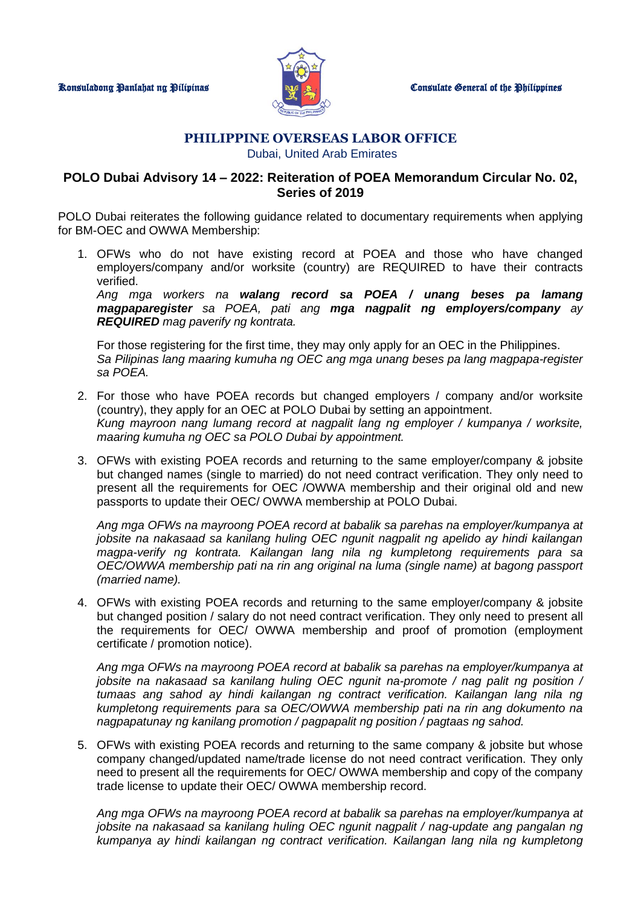

## **PHILIPPINE OVERSEAS LABOR OFFICE** Dubai, United Arab Emirates

## **POLO Dubai Advisory 14 – 2022: Reiteration of POEA Memorandum Circular No. 02, Series of 2019**

POLO Dubai reiterates the following guidance related to documentary requirements when applying for BM-OEC and OWWA Membership:

1. OFWs who do not have existing record at POEA and those who have changed employers/company and/or worksite (country) are REQUIRED to have their contracts verified.

*Ang mga workers na walang record sa POEA / unang beses pa lamang magpaparegister sa POEA, pati ang mga nagpalit ng employers/company ay REQUIRED mag paverify ng kontrata.*

For those registering for the first time, they may only apply for an OEC in the Philippines. *Sa Pilipinas lang maaring kumuha ng OEC ang mga unang beses pa lang magpapa-register sa POEA.*

- 2. For those who have POEA records but changed employers / company and/or worksite (country), they apply for an OEC at POLO Dubai by setting an appointment. *Kung mayroon nang lumang record at nagpalit lang ng employer / kumpanya / worksite, maaring kumuha ng OEC sa POLO Dubai by appointment.*
- 3. OFWs with existing POEA records and returning to the same employer/company & jobsite but changed names (single to married) do not need contract verification. They only need to present all the requirements for OEC /OWWA membership and their original old and new passports to update their OEC/ OWWA membership at POLO Dubai.

*Ang mga OFWs na mayroong POEA record at babalik sa parehas na employer/kumpanya at jobsite na nakasaad sa kanilang huling OEC ngunit nagpalit ng apelido ay hindi kailangan magpa-verify ng kontrata. Kailangan lang nila ng kumpletong requirements para sa OEC/OWWA membership pati na rin ang original na luma (single name) at bagong passport (married name).*

4. OFWs with existing POEA records and returning to the same employer/company & jobsite but changed position / salary do not need contract verification. They only need to present all the requirements for OEC/ OWWA membership and proof of promotion (employment certificate / promotion notice).

*Ang mga OFWs na mayroong POEA record at babalik sa parehas na employer/kumpanya at jobsite na nakasaad sa kanilang huling OEC ngunit na-promote / nag palit ng position / tumaas ang sahod ay hindi kailangan ng contract verification. Kailangan lang nila ng kumpletong requirements para sa OEC/OWWA membership pati na rin ang dokumento na nagpapatunay ng kanilang promotion / pagpapalit ng position / pagtaas ng sahod.*

5. OFWs with existing POEA records and returning to the same company & jobsite but whose company changed/updated name/trade license do not need contract verification. They only need to present all the requirements for OEC/ OWWA membership and copy of the company trade license to update their OEC/ OWWA membership record.

*Ang mga OFWs na mayroong POEA record at babalik sa parehas na employer/kumpanya at jobsite na nakasaad sa kanilang huling OEC ngunit nagpalit / nag-update ang pangalan ng kumpanya ay hindi kailangan ng contract verification. Kailangan lang nila ng kumpletong*